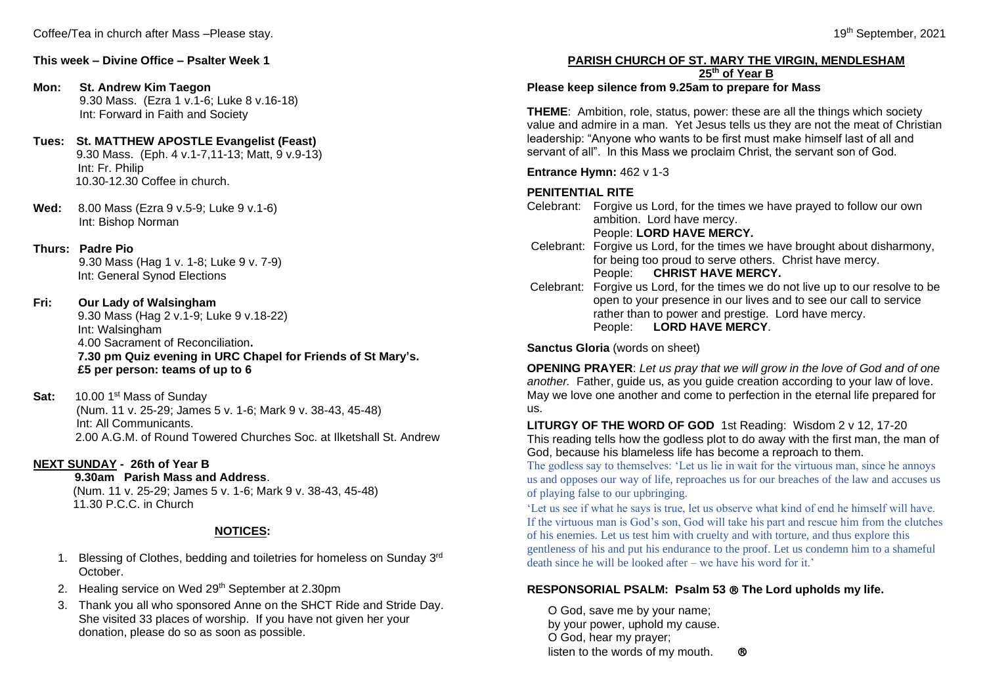### **Mon: St. Andrew Kim Taegon**

9.30 Mass. (Ezra 1 v.1-6; Luke 8 v.16-18) Int: Forward in Faith and Society

#### **Tues: St. MATTHEW APOSTLE Evangelist (Feast)** 9.30 Mass. (Eph. 4 v.1-7,11-13; Matt, 9 v.9-13) Int: Fr. Philip 10.30-12.30 Coffee in church.

**Wed:** 8.00 Mass (Ezra 9 v.5-9; Luke 9 v.1-6) Int: Bishop Norman

# **Thurs: Padre Pio**

9.30 Mass (Hag 1 v. 1-8; Luke 9 v. 7-9) Int: General Synod Elections

# **Fri: Our Lady of Walsingham**

9.30 Mass (Hag 2 v.1-9; Luke 9 v.18-22) Int: Walsingham 4.00 Sacrament of Reconciliation**. 7.30 pm Quiz evening in URC Chapel for Friends of St Mary's. £5 per person: teams of up to 6**

**Sat:** 10.00 1<sup>st</sup> Mass of Sunday

 (Num. 11 v. 25-29; James 5 v. 1-6; Mark 9 v. 38-43, 45-48) Int: All Communicants. 2.00 A.G.M. of Round Towered Churches Soc. at Ilketshall St. Andrew

# **NEXT SUNDAY - 26th of Year B**

 **9.30am Parish Mass and Address**. (Num. 11 v. 25-29; James 5 v. 1-6; Mark 9 v. 38-43, 45-48) 11.30 P.C.C. in Church

# **NOTICES:**

- 1. Blessing of Clothes, bedding and toiletries for homeless on Sunday 3rd October.
- 2. Healing service on Wed 29<sup>th</sup> September at 2.30pm
- 3. Thank you all who sponsored Anne on the SHCT Ride and Stride Day. She visited 33 places of worship. If you have not given her your donation, please do so as soon as possible.

# **PARISH CHURCH OF ST. MARY THE VIRGIN, MENDLESHAM**

**25th of Year B**

# **Please keep silence from 9.25am to prepare for Mass**

**THEME**: Ambition, role, status, power: these are all the things which society value and admire in a man. Yet Jesus tells us they are not the meat of Christian leadership: "Anyone who wants to be first must make himself last of all and servant of all". In this Mass we proclaim Christ, the servant son of God.

**Entrance Hymn:** 462 v 1-3

# **PENITENTIAL RITE**

Celebrant: Forgive us Lord, for the times we have prayed to follow our own ambition. Lord have mercy.

# People: **LORD HAVE MERCY.**

- Celebrant: Forgive us Lord, for the times we have brought about disharmony, for being too proud to serve others. Christ have mercy. People: **CHRIST HAVE MERCY.**
- Celebrant: Forgive us Lord, for the times we do not live up to our resolve to be open to your presence in our lives and to see our call to service rather than to power and prestige. Lord have mercy. People: **LORD HAVE MERCY**.

**Sanctus Gloria** (words on sheet)

**OPENING PRAYER**: *Let us pray that we will grow in the love of God and of one another.* Father, guide us, as you guide creation according to your law of love. May we love one another and come to perfection in the eternal life prepared for us.

**LITURGY OF THE WORD OF GOD** 1st Reading: Wisdom 2 v 12, 17-20 This reading tells how the godless plot to do away with the first man, the man of God, because his blameless life has become a reproach to them.

The godless say to themselves: 'Let us lie in wait for the virtuous man, since he annoys us and opposes our way of life, reproaches us for our breaches of the law and accuses us of playing false to our upbringing.

'Let us see if what he says is true, let us observe what kind of end he himself will have. If the virtuous man is God's son, God will take his part and rescue him from the clutches of his enemies. Let us test him with cruelty and with torture, and thus explore this gentleness of his and put his endurance to the proof. Let us condemn him to a shameful death since he will be looked after – we have his word for it.'

# **RESPONSORIAL PSALM: Psalm 53 The Lord upholds my life.**

O God, save me by your name; by your power, uphold my cause. O God, hear my prayer; listen to the words of my mouth.  $\circledR$